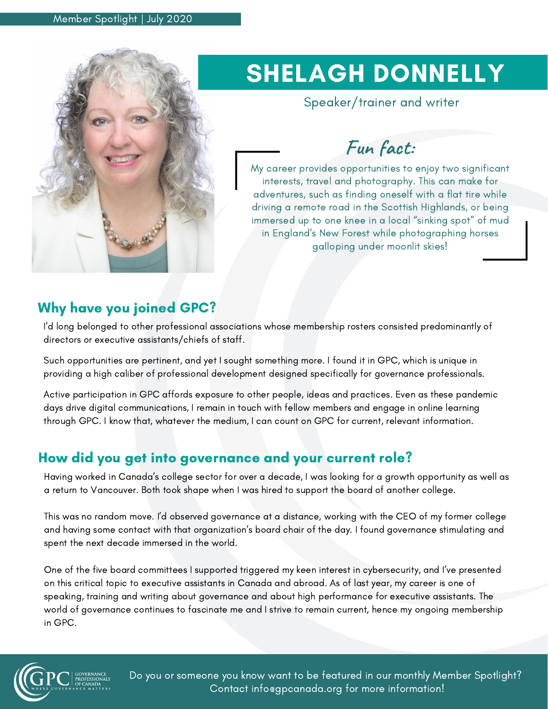

# SHELAGH DONNELLY

Speaker/trainer and writer

# **Fun fact:**

My career provides opportunities to enjoy two significant interests, travel and photography. This can make for adventures, such as finding oneself with a flat tire while driving a remote road in the Scottish Highlands, or being immersed up to one knee in a local "sinking spot" of mud in England's New Forest while photographing horses galloping under moonlit skies!

### Why have you joined GPC?

I'd long belonged to other professional associations whose membership rosters consisted predominantly of directors or executive assistants/chiefs of staff.

Such opportunities are pertinent, and yet I sought something more. I found it in GPC, which is unique in providing a high caliber of professional development designed specifically for governance professionals.

Active participation in GPC affords exposure to other people, ideas and practices. Even as these pandemic days drive digital communications, I remain in touch with fellow members and engage in online learning through GPC. I know that, whatever the medium, I can count on GPC for current, relevant information.

### How did you get into governance and your current role?

Having worked in Canada's college sector for over a decade, I was looking for a growth opportunity as well as a return to Vancouver. Both took shape when I was hired to support the board of another college.

This was no random move. I'd observed governance at a distance, working with the CEO of my former college and having some contact with that organization's board chair of the day. I found governance stimulating and spent the next decade immersed in the world.

One of the five board committees I supported triggered my keen interest in cybersecurity, and I've presented on this critical topic to executive assistants in Canada and abroad. As of last year, my career is one of speaking, training and writing about governance and about high performance for executive assistants. The world of governance continues to fascinate me and I strive to remain current, hence my ongoing membership in GPC.



Do you or someone you know want to be featured in our monthly Member Spotlight? Contact info@gpcanada.org for more information!